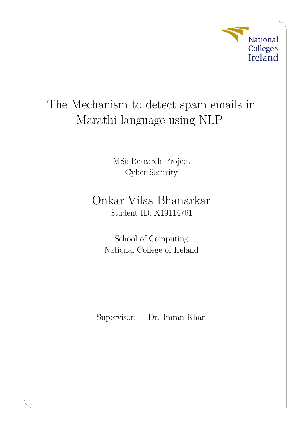

# The Mechanism to detect spam emails in Marathi language using NLP

MSc Research Project Cyber Security

## Onkar Vilas Bhanarkar Student ID: X19114761

School of Computing National College of Ireland

Supervisor: Dr. Imran Khan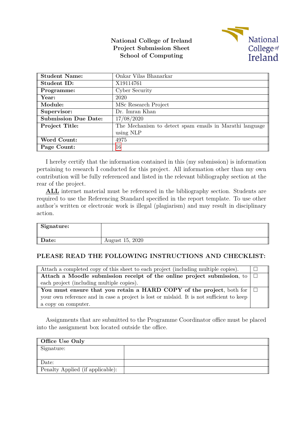#### **National College of Ireland Project Submission Sheet School of Computing**



| <b>Student Name:</b>        | Onkar Vilas Bhanarkar                                   |
|-----------------------------|---------------------------------------------------------|
| Student ID:                 | X19114761                                               |
| Programme:                  | Cyber Security                                          |
| Year:                       | 2020                                                    |
| Module:                     | MSc Research Project                                    |
| Supervisor:                 | Dr. Imran Khan                                          |
| <b>Submission Due Date:</b> | 17/08/2020                                              |
| Project Title:              | The Mechanism to detect spam emails in Marathi language |
|                             | using NLP                                               |
| Word Count:                 | 4975                                                    |
| Page Count:                 | 16                                                      |

I hereby certify that the information contained in this (my submission) is information pertaining to research I conducted for this project. All information other than my own contribution will be fully referenced and listed in the relevant bibliography section at the rear of the project.

**ALL** internet material must be referenced in the bibliography section. Students are required to use the Referencing Standard specified in the report template. To use other author's written or electronic work is illegal (plagiarism) and may result in disciplinary action.

| Signature: |                 |
|------------|-----------------|
| Date:      | August 15, 2020 |

#### **PLEASE READ THE FOLLOWING INSTRUCTIONS AND CHECKLIST:**

| Attach a completed copy of this sheet to each project (including multiple copies).        |  |
|-------------------------------------------------------------------------------------------|--|
| Attach a Moodle submission receipt of the online project submission, to $\Box$            |  |
| each project (including multiple copies).                                                 |  |
| You must ensure that you retain a HARD COPY of the project, both for $\Box$               |  |
| your own reference and in case a project is lost or mislaid. It is not sufficient to keep |  |
| a copy on computer.                                                                       |  |

Assignments that are submitted to the Programme Coordinator office must be placed into the assignment box located outside the office.

| Office Use Only                  |  |
|----------------------------------|--|
| Signature:                       |  |
|                                  |  |
| Date:                            |  |
| Penalty Applied (if applicable): |  |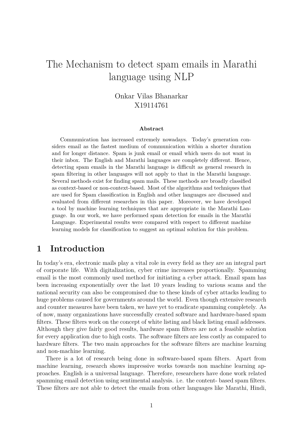## The Mechanism to detect spam emails in Marathi language using NLP

Onkar Vilas Bhanarkar X19114761

#### **Abstract**

Communication has increased extremely nowadays. Today's generation considers email as the fastest medium of communication within a shorter duration and for longer distance. Spam is junk email or email which users do not want in their inbox. The English and Marathi languages are completely different. Hence, detecting spam emails in the Marathi language is difficult as general research in spam filtering in other languages will not apply to that in the Marathi language. Several methods exist for finding spam mails. These methods are broadly classified as context-based or non-context-based. Most of the algorithms and techniques that are used for Spam classification in English and other languages are discussed and evaluated from different researches in this paper. Moreover, we have developed a tool by machine learning techniques that are appropriate in the Marathi Language. In our work, we have performed spam detection for emails in the Marathi Language. Experimental results were compared with respect to different machine learning models for classification to suggest an optimal solution for this problem.

### **1 Introduction**

In today's era, electronic mails play a vital role in every field as they are an integral part of corporate life. With digitalization, cyber crime increases proportionally. Spamming email is the most commonly used method for initiating a cyber attack. Email spam has been increasing exponentially over the last 10 years leading to various scams and the national security can also be compromised due to these kinds of cyber attacks leading to huge problems caused for governments around the world. Even though extensive research and counter measures have been taken, we have yet to eradicate spamming completely. As of now, many organizations have successfully created software and hardware-based spam filters. These filters work on the concept of white listing and black listing email addresses. Although they give fairly good results, hardware spam filters are not a feasible solution for every application due to high costs. The software filters are less costly as compared to hardware filters. The two main approaches for the software filters are machine learning and non-machine learning.

There is a lot of research being done in software-based spam filters. Apart from machine learning, research shows impressive works towards non machine learning approaches. English is a universal language. Therefore, researchers have done work related spamming email detection using sentimental analysis. i.e. the content- based spam filters. These filters are not able to detect the emails from other languages like Marathi, Hindi,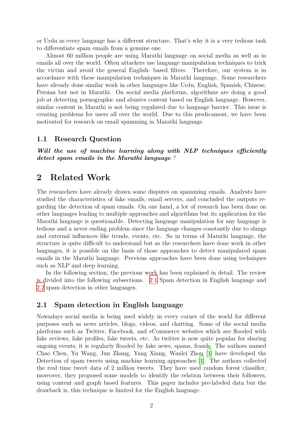or Urdu as every language has a different structure. That's why it is a very tedious task to differentiate spam emails from a genuine one.

Almost 60 million people are using Marathi language on social media as well as in emails all over the world. Often attackers use language manipulation techniques to trick the victim and avoid the general English- based filters. Therefore, our system is in accordance with these manipulation techniques in Marathi language. Some researchers have already done similar work in other languages like Urdu, English, Spanish, Chinese, Persian but not in Marathi. On social media platforms, algorithms are doing a good job at detecting pornographic and abusive content based on English language. However, similar content in Marathi is not being regulated due to language barrier. This issue is creating problems for users all over the world. Due to this predicament, we have been motivated for research on email spamming in Marathi language.

#### **1.1 Research Question**

*Will the use of machine learning along with NLP techniques efficiently detect spam emails in the Marathi language* ?

### **2 Related Work**

The researchers have already drawn some disputes on spamming emails. Analysts have studied the characteristics of fake emails, email servers, and concluded the outputs regarding the detection of spam emails. On one hand, a lot of research has been done on other languages leading to multiple approaches and algorithms but its application for the Marathi language is questionable. Detecting language manipulation for any language is tedious and a never ending problem since the language changes constantly due to slangs and external influences like trends, events, etc. So in terms of Marathi language, the structure is quite difficult to understand but as the researchers have done work in other languages, it is possible on the basis of those approaches to detect manipulated spam emails in the Marathi language. Previous approaches have been done using techniques such as NLP and deep learning.

In the following section, the previous work has been explained in detail. The review is divided into the following subsections. [2.1](#page-3-0) Spam detection in English language and [2.2](#page-5-0) spam detection in other languages.

#### <span id="page-3-0"></span>**2.1 Spam detection in English language**

Nowadays social media is being used widely in every corner of the world for different purposes such as news articles, blogs, videos, and chatting. Some of the social media platforms such as Twitter, Facebook, and eCommerce websites which are flooded with fake reviews, fake profiles, fake tweets, etc. As twitter is now quite popular for sharing ongoing events, it is regularly flooded by fake news, spams, frauds. The authors named Chao Chen, Yu Wang, Jun Zhang, Yang Xiang, Wanlei Zhou [\[1](#page-16-0)] have developed the Detection of spam tweets using machine learning approaches [\[1\]](#page-16-0). The authors collected the real time tweet data of 2 million tweets. They have used random forest classifier, moreover, they proposed some models to identify the relation between their followers, using content and graph based features. This paper includes pre-labeled data but the drawback is, this technique is limited for the English language.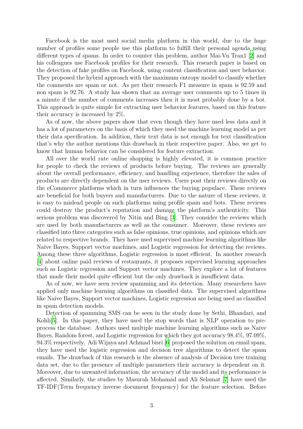Facebook is the most used social media platform in this world, due to the huge number of profiles some people use this platform to fulfill their personal agenda using different types of spams. In order to counter this problem, author Mai-Vu Tran1 [\[2](#page-16-1)] and his colleagues use Facebook profiles for their research. This research paper is based on the detection of fake profiles on Facebook, using content classification and user behavior. They proposed the hybrid approach with the maximum entropy model to classify whether the comments are spam or not. As per their research F1 measure in spam is 92.59 and non spam is 92.76. A study has shown that an average user comments up to 5 times in a minute if the number of comments increases then it is most probably done by a bot. This approach is quite simple for extracting user behavior features, based on this feature their accuracy is increased by 2%.

As of now, the above papers show that even though they have used less data and it has a lot of parameters on the basis of which they used the machine learning model as per their data specification. In addition, their text data is not enough for text classification that's why the author mentions this drawback in their respective paper. Also, we get to know that human behavior can be considered for feature extraction.

All over the world rate online shopping is highly elevated, it is common practice for people to check the reviews of products before buying. The reviews are generally about the overall performance, efficiency, and handling experience, therefore the sales of products are directly dependent on the user reviews. Users post their reviews directly on the eCommerce platforms which in turn influences the buying populace. These reviews are beneficial for both buyers and manufacturers. Due to the nature of these reviews, it is easy to mislead people on such platforms using profile spam and bots. These reviews could destroy the product's reputation and damage the platform's authenticity. This serious problem was discovered by Nitin and Bing [\[3\]](#page-16-2). They consider the reviews which are used by both manufacturers as well as the consumer. Moreover, these reviews are classified into three categories such as false opinions, true opinions, and opinions which are related to respective brands. They have used supervised machine learning algorithms like Naïve Bayes, Support vector machines, and Logistic regression for detecting the reviews. Among these three algorithms, Logistic regression is most efficient. In another research [\[4](#page-16-3)] about online paid reviews of restaurants, it proposes supervised learning approaches such as Logistic regression and Support vector machines. They explore a lot of features that made their model quite efficient but the only drawback is insufficient data.

As of now, we have seen review spamming and its detection. Many researchers have applied only machine learning algorithms on classified data. The supervised algorithms like Naive Bayes, Support vector machines, Logistic regression are being used as classified in spam detection models.

Detection of spamming SMS can be seen in the study done by Sethi, Bhandari, and Kohli<sup>[[5\]](#page-16-4)</sup>. In this paper, they have used the stop words that is NLP operation to preprocess the database. Authors used multiple machine learning algorithms such as Naive Bayes, Random forest, and Logistic regression for which they got accuracy 98.4%, 97.09%, 94.3% respectively. Adi Wijaya and Achmad bisri [\[6\]](#page-16-5) proposed the solution on email spam, they have used the logistic regression and decision tree algorithms to detect the spam emails. The drawback of this research is the absence of analysis of Decision tree training data set, due to the presence of multiple parameters their accuracy is dependent on it. Moreover, due to unwanted information, the accuracy of the model and its performance is affected. Similarly, the studies by Masurah Mohamad and Ali Selamat [\[7](#page-16-6)] have used the TF-IDF(Term frequency inverse document frequency) for the feature selection. Before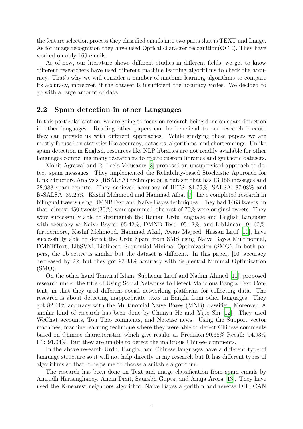the feature selection process they classified emails into two parts that is TEXT and Image. As for image recognition they have used Optical character recognition(OCR). They have worked on only 169 emails.

As of now, our literature shows different studies in different fields, we get to know different researchers have used different machine learning algorithms to check the accuracy. That's why we will consider a number of machine learning algorithms to compare its accuracy, moreover, if the dataset is insufficient the accuracy varies. We decided to go with a large amount of data.

#### <span id="page-5-0"></span>**2.2 Spam detection in other Languages**

In this particular section, we are going to focus on research being done on spam detection in other languages. Reading other papers can be beneficial to our research because they can provide us with different approaches. While studying these papers we are mostly focused on statistics like accuracy, datasets, algorithms, and shortcomings. Unlike spam detection in English, resources like NLP libraries are not readily available for other languages compelling many researchers to create custom libraries and synthetic datasets.

Mohit Agrawal and R. Leela Velusamy [[8\]](#page-16-7) proposed an unsupervised approach to detect spam messages. They implemented the Reliability-based Stochastic Approach for Link Structure Analysis (RSALSA) technique on a dataset that has 13,188 messages and 28,988 spam reports. They achieved accuracy of HITS: 81.75%, SALSA: 87.08% and R-SALSA: 89.25%. Kashif Mehmood and Hammad Afzal [[9](#page-16-8)], have completed research in bilingual tweets using DMNBText and Naïve Bayes techniques. They had 1463 tweets, in that, almost 450 tweets(30%) were spammed, the rest of 70% were original tweets. They were successfully able to distinguish the Roman Urdu language and English Language with accuracy as Naive Bayes:  $95.42\%$ , DMNB Test:  $95.12\%$ , and LibLinear:  $94.60\%$ . furthermore, Kashif Mehmood, Hammad Afzal, Awais Majeed, Hassan Latif [\[10\]](#page-16-9), have successfully able to detect the Urdu Spam from SMS using Naïve Bayes Multinomial, DMNBText, LibSVM, Liblinear, Sequential Minimal Optimization (SMO). In both papers, the objective is similar but the dataset is different. In this paper, [10] accuracy decreased by 2% but they got 93.33% accuracy with Sequential Minimal Optimization (SMO).

On the other hand Tanvirul Islam, Subhenur Latif and Nadim Ahmed [\[11](#page-17-1)], proposed research under the title of Using Social Networks to Detect Malicious Bangla Text Content, in that they used different social networking platforms for collecting data. The research is about detecting inappropriate texts in Bangla from other languages. They got 82.44% accuracy with the Multinomial Naïve Bayes (MNB) classifier. Moreover, A similar kind of research has been done by Chunyu He and Yijie Shi [\[12](#page-17-2)]. They used WeChat accounts, Tou Tiao comments, and Netease news. Using the Support vector machines, machine learning technique where they were able to detect Chinese comments based on Chinese characteristics which give results as Precision:90.36% Recall: 94.93% F1: 91.04%. But they are unable to detect the malicious Chinese comments.

In the above research Urdu, Bangla, and Chinese languages have a different type of language structure so it will not help directly in my research but It has different types of algorithms so that it helps me to choose a suitable algorithm.

The research has been done on Text and image classification from spam emails by Anirudh Harisinghaney, Aman Dixit, Saurabh Gupta, and Anuja Arora [\[13](#page-17-3)]. They have used the K-nearest neighbors algorithm, Naive Bayes algorithm and reverse DBS CAN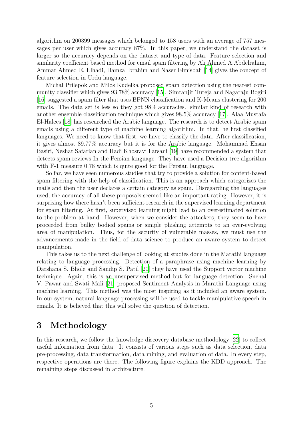algorithm on 200399 messages which belonged to 158 users with an average of 757 messages per user which gives accuracy 87%. In this paper, we understand the dataset is larger so the accuracy depends on the dataset and type of data. Feature selection and similarity coefficient based method for email spam filtering by Ali Ahmed A.Abdelrahim, Ammar Ahmed E. Elhadi, Hamza Ibrahim and Naser Elmisbah [[14\]](#page-17-4) gives the concept of feature selection in Urdu language.

Michal Prilepok and Milos Kudelka proposed spam detection using the nearest community classifier which gives 93.78% accuracy [\[15\]](#page-17-5). Simranjit Tuteja and Nagaraju Bogiri [\[16\]](#page-17-6) suggested a spam filter that uses BPNN classification and K-Means clustering for 200 emails. The data set is less so they got 98.4 accuracies. similar kind of research with another ensemble classification technique which gives 98.5% accuracy [\[17\]](#page-17-7). Alaa Mustafa El-Halees [[18](#page-17-8)] has researched the Arabic language. The research is to detect Arabic spam emails using a different type of machine learning algorithm. In that, he first classified languages. We need to know that first, we have to classify the data. After classification, it gives almost 89.77% accuracy but it is for the Arabic language. Mohammad Ehsan Basiri, Neshat Safarian and Hadi Khosravi Farsani [[19](#page-17-9)] have recommended a system that detects spam reviews In the Persian language. They have used a Decision tree algorithm with F-1 measure 0.78 which is quite good for the Persian language.

So far, we have seen numerous studies that try to provide a solution for content-based spam filtering with the help of classification. This is an approach which categorizes the mails and then the user declares a certain category as spam. Disregarding the languages used, the accuracy of all these proposals seemed like an important rating. However, it is surprising how there hasn't been sufficient research in the supervised learning department for spam filtering. At first, supervised learning might lead to an overestimated solution to the problem at hand. However, when we consider the attackers, they seem to have proceeded from bulky bodied spams or simple phishing attempts to an ever-evolving area of manipulation. Thus, for the security of vulnerable masses, we must use the advancements made in the field of data science to produce an aware system to detect manipulation.

This takes us to the next challenge of looking at studies done in the Marathi language relating to language processing. Detection of a paraphrase using machine learning by Darshana S. Bhole and Sandip S. Patil [\[20\]](#page-17-10) they have used the Support vector machine technique. Again, this is an unsupervised method but for language detection. Snehal V. Pawar and Swati Mali [[21\]](#page-17-11) proposed Sentiment Analysis in Marathi Language using machine learning. This method was the most inspiring as it included an aware system. In our system, natural language processing will be used to tackle manipulative speech in emails. It is believed that this will solve the question of detection.

## **3 Methodology**

In this research, we follow the knowledge discovery database methodology [[22](#page-17-12)] to collect useful information from data. It consists of various steps such as data selection, data pre-processing, data transformation, data mining, and evaluation of data. In every step, respective operations are there. The following figure explains the KDD approach. The remaining steps discussed in architecture.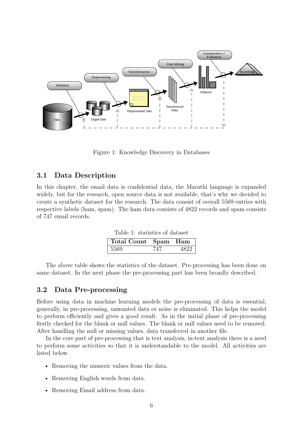

Figure 1: Knowledge Discovery in Databases

#### **3.1 Data Description**

In this chapter, the email data is confidential data, the Marathi language is expanded widely, but for the research, open source data is not available, that's why we decided to create a synthetic dataset for the research. The data consist of overall 5569 entries with respective labels (ham, spam). The ham data consists of 4822 records and spam consists of 747 email records.

Table 1: statistics of dataset

| Total Count Spam Ham |  |
|----------------------|--|
| 5569                 |  |

The above table shows the statistics of the dataset. Pre-processing has been done on same dataset. In the next phase the pre-processing part has been broadly described.

#### **3.2 Data Pre-processing**

Before using data in machine learning models the pre-processing of data is essential, generally, in pre-processing, unwanted data or noise is eliminated. This helps the model to perform efficiently and gives a good result. As in the initial phase of pre-processing firstly checked for the blank or null values. The blank or null values need to be removed. After handling the null or missing values, data transferred in another file.

In the core part of pre-processing that is text analysis, in-text analysis there is a need to perform some activities so that it is understandable to the model. All activities are listed below.

- Removing the numeric values from the data.
- Removing English words from data.
- Removing Email address from data.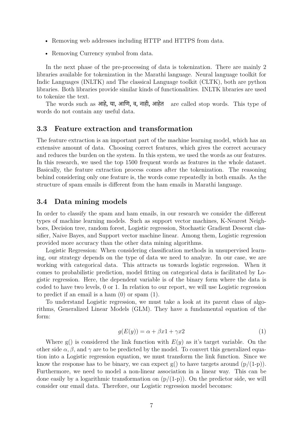- Removing web addresses including HTTP and HTTPS from data.
- Removing Currency symbol from data.

In the next phase of the pre-processing of data is tokenization. There are mainly 2 libraries available for tokenization in the Marathi language. Neural language toolkit for Indic Languages (INLTK) and The classical Language toolkit (CLTK), both are python libraries. Both libraries provide similar kinds of functionalities. INLTK libraries are used to tokenize the text.

The words such as आहे. या, आणि, व, नाही, आहेत are called stop words. This type of words do not contain any useful data.

#### **3.3 Feature extraction and transformation**

The feature extraction is an important part of the machine learning model, which has an extensive amount of data. Choosing correct features, which gives the correct accuracy and reduces the burden on the system. In this system, we used the words as our features. In this research, we used the top 1500 frequent words as features in the whole dataset. Basically, the feature extraction process comes after the tokenization. The reasoning behind considering only one feature is, the words come repeatedly in both emails. As the structure of spam emails is different from the ham emails in Marathi language.

#### **3.4 Data mining models**

In order to classify the spam and ham emails, in our research we consider the different types of machine learning models. Such as support vector machines, K-Nearest Neighbors, Decision tree, random forest, Logistic regression, Stochastic Gradient Descent classifier, Naive Bayes, and Support vector machine linear. Among them, Logistic regression provided more accuracy than the other data mining algorithms.

Logistic Regression: When considering classification methods in unsupervised learning, our strategy depends on the type of data we need to analyze. In our case, we are working with categorical data. This attracts us towards logistic regression. When it comes to probabilistic prediction, model fitting on categorical data is facilitated by Logistic regression. Here, the dependent variable is of the binary form where the data is coded to have two levels, 0 or 1. In relation to our report, we will use Logistic regression to predict if an email is a ham (0) or spam (1).

To understand Logistic regression, we must take a look at its parent class of algorithms, Generalized Linear Models (GLM). They have a fundamental equation of the form:

$$
g(E(y)) = \alpha + \beta x \mathbf{1} + \gamma x \mathbf{2} \tag{1}
$$

Where  $g()$  is considered the link function with  $E(y)$  as it's target variable. On the other side  $\alpha, \beta$ , and  $\gamma$  are to be predicted by the model. To convert this generalized equation into a Logistic regression equation, we must transform the link function. Since we know the response has to be binary, we can expect  $g()$  to have targets around  $(p/(1-p))$ . Furthermore, we need to model a non-linear association in a linear way. This can be done easily by a logarithmic transformation on  $(p/(1-p))$ . On the predictor side, we will consider our email data. Therefore, our Logistic regression model becomes: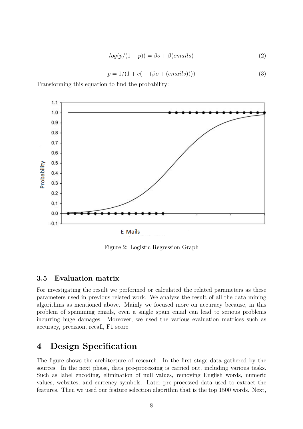$$
log(p/(1-p)) = \beta o + \beta(emails)
$$
\n(2)

$$
p = 1/(1 + e(-(\beta o + (email s))))
$$
 (3)

Transforming this equation to find the probability:



Figure 2: Logistic Regression Graph

#### **3.5 Evaluation matrix**

For investigating the result we performed or calculated the related parameters as these parameters used in previous related work. We analyze the result of all the data mining algorithms as mentioned above. Mainly we focused more on accuracy because, in this problem of spamming emails, even a single spam email can lead to serious problems incurring huge damages. Moreover, we used the various evaluation matrices such as accuracy, precision, recall, F1 score.

### **4 Design Specification**

The figure shows the architecture of research. In the first stage data gathered by the sources. In the next phase, data pre-processing is carried out, including various tasks. Such as label encoding, elimination of null values, removing English words, numeric values, websites, and currency symbols. Later pre-processed data used to extract the features. Then we used our feature selection algorithm that is the top 1500 words. Next,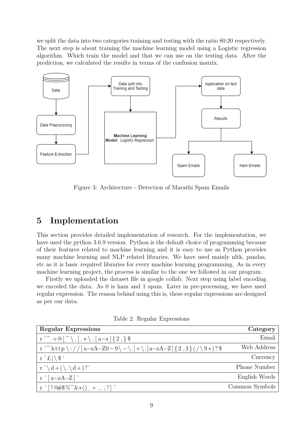we split the data into two categories training and testing with the ratio 80:20 respectively. The next step is about training the machine learning model using a Logistic regression algorithm. Which train the model and that we can use on the testing data. After the prediction, we calculated the results in terms of the confusion matrix.



Figure 3: Architecture - Detection of Marathi Spam Emails

## **5 Implementation**

This section provides detailed implementation of research. For the implementation, we have used the python 3.6.9 version. Python is the default choice of programming because of their features related to machine learning and it is easy to use as Python provides many machine learning and NLP related libraries. We have used mainly nltk, pandas, etc as it is basic required libraries for every machine learning programming. As in every machine learning project, the process is similar to the one we followed in our program.

Firstly we uploaded the dataset file in google collab. Next step using label encoding we encoded the data. As 0 is ham and 1 spam. Later in pre-processing, we have used regular expression. The reason behind using this is, these regular expressions are designed as per our data.

Table 2: Regular Expressions

| <b>Regular Expressions</b>                                                                                   | Category            |
|--------------------------------------------------------------------------------------------------------------|---------------------|
| $r^{\prime\sim}$ . + $\mathbb{Q}$ $\restriction^{\sim}$ . $\mid$ . $\star \setminus$ . $[a-z]$ $\{2, \}$ $\$ | Email               |
| r ' ^ http \://[a-zA-Z0-9\-\.]+\.[a-zA-Z]{2,3}(/\S*)?\$                                                      | Web Address         |
| $r \mathcal{L} \setminus \$                                                                                  | Currency            |
| $r' \ d+(\lambda \ d+)$ ?'                                                                                   | <b>Phone Number</b> |
| $r'$ [a-zA-Z]'                                                                                               | English Words       |
| $r'$   ! $@#$ \$ % $^{\sim}$ & * ( ) $-$ + , . ; ? ] '                                                       | Common Symbols      |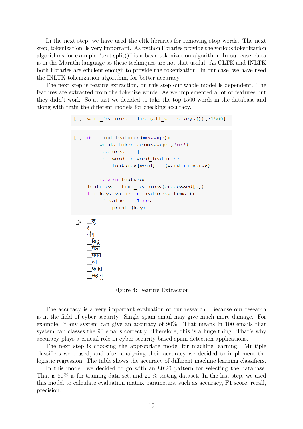In the next step, we have used the cltk libraries for removing stop words. The next step, tokenization, is very important. As python libraries provide the various tokenization algorithms for example "text.split()" is a basic tokenization algorithm. In our case, data is in the Marathi language so these techniques are not that useful. As CLTK and INLTK both libraries are efficient enough to provide the tokenization. In our case, we have used the INLTK tokenization algorithm, for better accuracy

The next step is feature extraction, on this step our whole model is dependent. The features are extracted from the tokenize words. As we implemented a lot of features but they didn't work. So at last we decided to take the top 1500 words in the database and along with train the different models for checking accuracy.

```
[ ] word features = list(all words.keys())[:1500]
[ ] def find features (message) :
         words=tokenize(message,'mr')
          features = \{\}for word in word features:
              features[word] = (word in words)return features
     features = find features (processed[0])for key, value in features.items():
          if value == True:
              print (key)
     \overline{\mathbf{v}}ाँग
      <u>,बिंदू</u>
       वेडा
      पर्यंत
      जा
       फक्त
      _महान
```
Figure 4: Feature Extraction

The accuracy is a very important evaluation of our research. Because our research is in the field of cyber security. Single spam email may give much more damage. For example, if any system can give an accuracy of 90%. That means in 100 emails that system can classes the 90 emails correctly. Therefore, this is a huge thing. That's why accuracy plays a crucial role in cyber security based spam detection applications.

The next step is choosing the appropriate model for machine learning. Multiple classifiers were used, and after analyzing their accuracy we decided to implement the logistic regression. The table shows the accuracy of different machine learning classifiers.

In this model, we decided to go with an 80:20 pattern for selecting the database. That is 80% is for training data set, and 20 % testing dataset. In the last step, we used this model to calculate evaluation matrix parameters, such as accuracy, F1 score, recall, precision.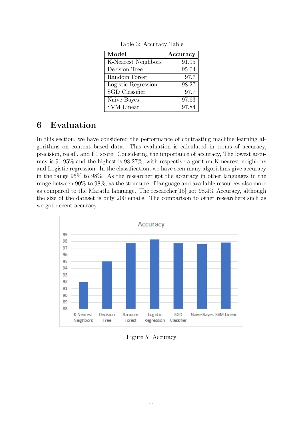| Model                 | Accuracy |
|-----------------------|----------|
| K-Nearest Neighbors   | 91.95    |
| Decision Tree         | 95.04    |
| Random Forest         | 97.7     |
| Logistic Regression   | 98.27    |
| <b>SGD</b> Classifier | 97.7     |
| Naive Bayes           | 97.63    |
| <b>SVM</b> Linear     | 97.84    |

Table 3: Accuracy Table

## **6 Evaluation**

In this section, we have considered the performance of contrasting machine learning algorithms on content based data. This evaluation is calculated in terms of accuracy, precision, recall, and F1 score. Considering the importance of accuracy, The lowest accuracy is 91.95% and the highest is 98.27%, with respective algorithm K-nearest neighbors and Logistic regression. In the classification, we have seen many algorithms give accuracy in the range 95% to 98%. As the researcher got the accuracy in other languages in the range between 90% to 98%, as the structure of language and available resources also more as compared to the Marathi language. The researcher[15] got 98.4% Accuracy, although the size of the dataset is only 200 emails. The comparison to other researchers such as we got decent accuracy.



Figure 5: Accuracy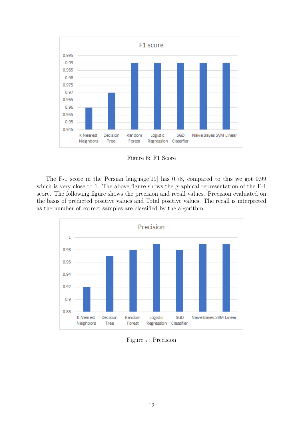

Figure 6: F1 Score

The F-1 score in the Persian language[19] has 0.78, compared to this we got 0.99 which is very close to 1. The above figure shows the graphical representation of the  $F-1$ score. The following figure shows the precision and recall values. Precision evaluated on the basis of predicted positive values and Total positive values. The recall is interpreted as the number of correct samples are classified by the algorithm.



Figure 7: Precision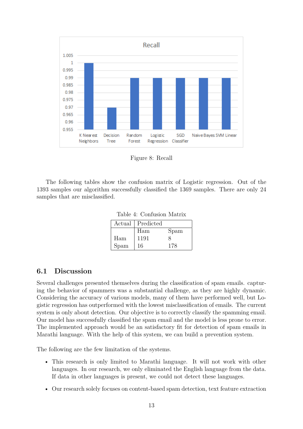

Figure 8: Recall

The following tables show the confusion matrix of Logistic regression. Out of the 1393 samples our algorithm successfully classified the 1369 samples. There are only 24 samples that are misclassified.

Table 4: Confusion Matrix

| Actual | Predicted |      |
|--------|-----------|------|
|        | Ham       | Spam |
| Ham    | 1191      |      |
| Spam   | 16        | 178  |

#### **6.1 Discussion**

Several challenges presented themselves during the classification of spam emails. capturing the behavior of spammers was a substantial challenge, as they are highly dynamic. Considering the accuracy of various models, many of them have performed well, but Logistic regression has outperformed with the lowest misclassification of emails. The current system is only about detection. Our objective is to correctly classify the spamming email. Our model has successfully classified the spam email and the model is less prone to error. The implemented approach would be an satisfactory fit for detection of spam emails in Marathi language. With the help of this system, we can build a prevention system.

The following are the few limitation of the systems.

- This research is only limited to Marathi language. It will not work with other languages. In our research, we only eliminated the English language from the data. If data in other languages is present, we could not detect these languages.
- Our research solely focuses on content-based spam detection, text feature extraction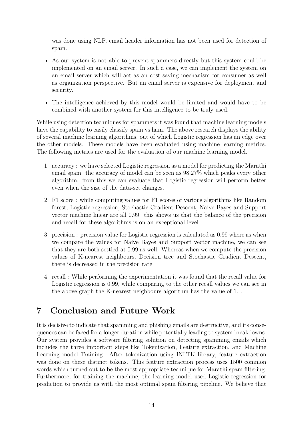was done using NLP, email header information has not been used for detection of spam.

- As our system is not able to prevent spammers directly but this system could be implemented on an email server. In such a case, we can implement the system on an email server which will act as an cost saving mechanism for consumer as well as organization perspective. But an email server is expensive for deployment and security.
- The intelligence achieved by this model would be limited and would have to be combined with another system for this intelligence to be truly used.

While using detection techniques for spammers it was found that machine learning models have the capability to easily classify spam vs ham. The above research displays the ability of several machine learning algorithms, out of which Logistic regression has an edge over the other models. These models have been evaluated using machine learning metrics. The following metrics are used for the evaluation of our machine learning model.

- 1. accuracy : we have selected Logistic regression as a model for predicting the Marathi email spam. the accuracy of model can be seen as 98.27% which peaks every other algorithm. from this we can evaluate that Logistic regression will perform better even when the size of the data-set changes.
- 2. F1 score : while computing values for F1 scores of various algorithms like Random forest, Logistic regression, Stochastic Gradient Descent, Naive Bayes and Support vector machine linear are all 0.99. this shows us that the balance of the precision and recall for these algorithms is on an exceptional level.
- 3. precision : precision value for Logistic regression is calculated as 0.99 where as when we compare the values for Naive Bayes and Support vector machine, we can see that they are both settled at 0.99 as well. Whereas when we compute the precision values of K-nearest neighbours, Decision tree and Stochastic Gradient Descent, there is decreased in the precision rate
- 4. recall : While performing the experimentation it was found that the recall value for Logistic regression is 0.99, while comparing to the other recall values we can see in the above graph the K-nearest neighbours algorithm has the value of 1. .

## **7 Conclusion and Future Work**

It is decisive to indicate that spamming and phishing emails are destructive, and its consequences can be faced for a longer duration while potentially leading to system breakdowns. Our system provides a software filtering solution on detecting spamming emails which includes the three important steps like Tokenization, Feature extraction, and Machine Learning model Training. After tokenization using INLTK library, feature extraction was done on these distinct tokens. This feature extraction process uses 1500 common words which turned out to be the most appropriate technique for Marathi spam filtering. Furthermore, for training the machine, the learning model used Logistic regression for prediction to provide us with the most optimal spam filtering pipeline. We believe that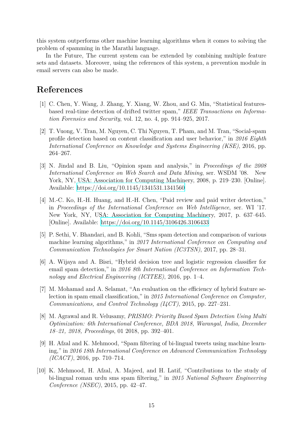this system outperforms other machine learning algorithms when it comes to solving the problem of spamming in the Marathi language.

In the Future, The current system can be extended by combining multiple feature sets and datasets. Moreover, using the references of this system, a prevention module in email servers can also be made.

## **References**

- <span id="page-16-0"></span>[1] C. Chen, Y. Wang, J. Zhang, Y. Xiang, W. Zhou, and G. Min, "Statistical featuresbased real-time detection of drifted twitter spam," *IEEE Transactions on Information Forensics and Security*, vol. 12, no. 4, pp. 914–925, 2017.
- <span id="page-16-1"></span>[2] T. Vuong, V. Tran, M. Nguyen, C. Thi Nguyen, T. Pham, and M. Tran, "Social-spam profile detection based on content classification and user behavior," in *2016 Eighth International Conference on Knowledge and Systems Engineering (KSE)*, 2016, pp. 264–267.
- <span id="page-16-2"></span>[3] N. Jindal and B. Liu, "Opinion spam and analysis," in *Proceedings of the 2008 International Conference on Web Search and Data Mining*, ser. WSDM '08. New York, NY, USA: Association for Computing Machinery, 2008, p. 219–230. [Online]. Available: <https://doi.org/10.1145/1341531.1341560>
- <span id="page-16-3"></span>[4] M.-C. Ko, H.-H. Huang, and H.-H. Chen, "Paid review and paid writer detection," in *Proceedings of the International Conference on Web Intelligence*, ser. WI '17. New York, NY, USA: Association for Computing Machinery, 2017, p. 637–645. [Online]. Available: <https://doi.org/10.1145/3106426.3106433>
- <span id="page-16-4"></span>[5] P. Sethi, V. Bhandari, and B. Kohli, "Sms spam detection and comparison of various machine learning algorithms," in *2017 International Conference on Computing and Communication Technologies for Smart Nation (IC3TSN)*, 2017, pp. 28–31.
- <span id="page-16-5"></span>[6] A. Wijaya and A. Bisri, "Hybrid decision tree and logistic regression classifier for email spam detection," in *2016 8th International Conference on Information Technology and Electrical Engineering (ICITEE)*, 2016, pp. 1–4.
- <span id="page-16-6"></span>[7] M. Mohamad and A. Selamat, "An evaluation on the efficiency of hybrid feature selection in spam email classification," in *2015 International Conference on Computer, Communications, and Control Technology (I4CT)*, 2015, pp. 227–231.
- <span id="page-16-7"></span>[8] M. Agrawal and R. Velusamy, *PRISMO: Priority Based Spam Detection Using Multi Optimization: 6th International Conference, BDA 2018, Warangal, India, December 18–21, 2018, Proceedings*, 01 2018, pp. 392–401.
- <span id="page-16-8"></span>[9] H. Afzal and K. Mehmood, "Spam filtering of bi-lingual tweets using machine learning," in *2016 18th International Conference on Advanced Communication Technology (ICACT)*, 2016, pp. 710–714.
- <span id="page-16-9"></span>[10] K. Mehmood, H. Afzal, A. Majeed, and H. Latif, "Contributions to the study of bi-lingual roman urdu sms spam filtering," in *2015 National Software Engineering Conference (NSEC)*, 2015, pp. 42–47.